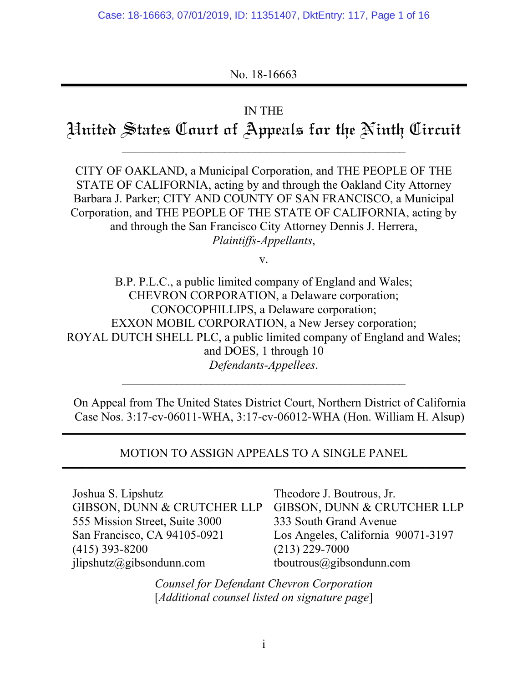## No. 18-16663

### IN THE

# Hnited States Court of Appeals for the Ninth Circuit

 $\mathcal{L}_\text{max}$  and the contract of the contract of the contract of the contract of the contract of the contract of the contract of the contract of the contract of the contract of the contract of the contract of the contrac

CITY OF OAKLAND, a Municipal Corporation, and THE PEOPLE OF THE STATE OF CALIFORNIA, acting by and through the Oakland City Attorney Barbara J. Parker; CITY AND COUNTY OF SAN FRANCISCO, a Municipal Corporation, and THE PEOPLE OF THE STATE OF CALIFORNIA, acting by and through the San Francisco City Attorney Dennis J. Herrera, *Plaintiffs-Appellants*,

v.

B.P. P.L.C., a public limited company of England and Wales; CHEVRON CORPORATION, a Delaware corporation; CONOCOPHILLIPS, a Delaware corporation; EXXON MOBIL CORPORATION, a New Jersey corporation; ROYAL DUTCH SHELL PLC, a public limited company of England and Wales; and DOES, 1 through 10 *Defendants-Appellees*.

On Appeal from The United States District Court, Northern District of California Case Nos. 3:17-cv-06011-WHA, 3:17-cv-06012-WHA (Hon. William H. Alsup)

#### MOTION TO ASSIGN APPEALS TO A SINGLE PANEL **\_\_\_\_\_\_\_\_\_\_\_\_\_\_\_\_\_\_\_\_\_\_\_\_\_\_\_\_\_\_\_\_\_\_\_\_\_\_\_\_\_\_\_\_\_\_\_\_\_\_\_\_\_\_\_\_\_\_\_\_\_\_\_\_\_\_\_\_\_\_\_\_\_\_\_\_\_\_\_\_\_\_\_\_\_\_\_\_\_\_\_\_\_\_\_\_\_\_\_\_\_\_\_\_**

**\_\_\_\_\_\_\_\_\_\_\_\_\_\_\_\_\_\_\_\_\_\_\_\_\_\_\_\_\_\_\_\_\_\_\_\_\_\_\_\_\_\_\_\_\_\_\_\_\_\_\_\_\_\_\_\_\_\_\_\_\_\_\_\_\_\_\_\_\_\_\_\_\_\_\_\_\_\_\_\_\_\_\_\_\_\_\_\_\_\_\_\_\_\_\_\_\_\_\_\_\_\_\_\_** 

| Joshua S. Lipshutz             | Theodore J. Boutrous, Jr.          |
|--------------------------------|------------------------------------|
| GIBSON, DUNN & CRUTCHER LLP    | GIBSON, DUNN & CRUTCHER LLP        |
| 555 Mission Street, Suite 3000 | 333 South Grand Avenue             |
| San Francisco, CA 94105-0921   | Los Angeles, California 90071-3197 |
| $(415)$ 393-8200               | $(213)$ 229-7000                   |
| jlipshutz@gibsondunn.com       | tboutrous@gibsondunn.com           |

*Counsel for Defendant Chevron Corporation*  [*Additional counsel listed on signature page*]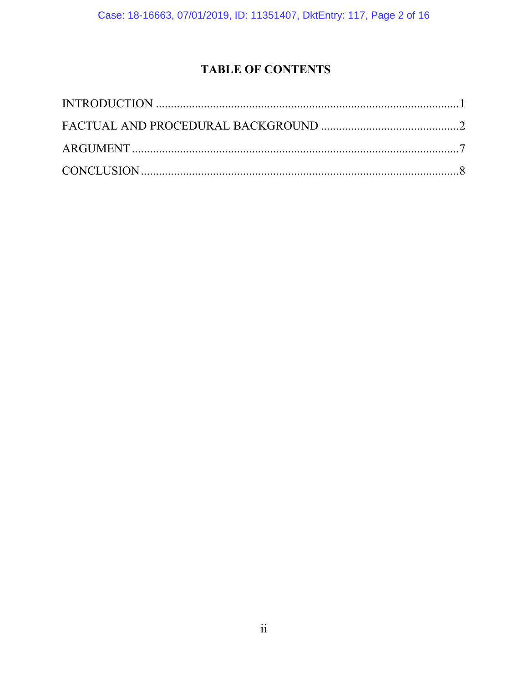## **TABLE OF CONTENTS**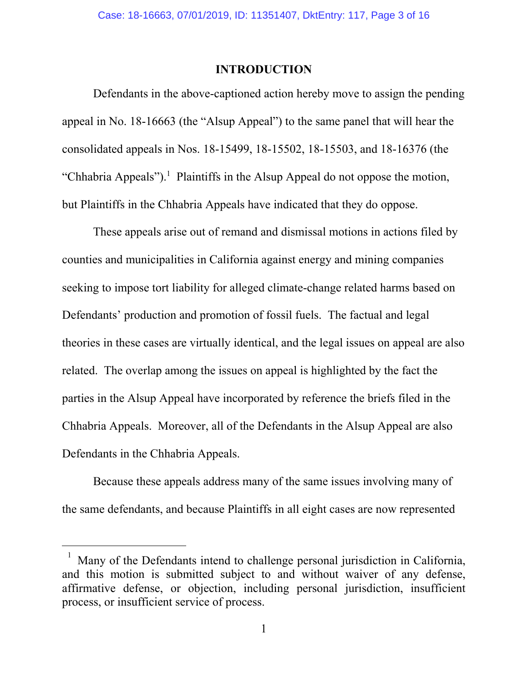#### **INTRODUCTION**

Defendants in the above-captioned action hereby move to assign the pending appeal in No. 18-16663 (the "Alsup Appeal") to the same panel that will hear the consolidated appeals in Nos. 18-15499, 18-15502, 18-15503, and 18-16376 (the "Chhabria Appeals").<sup>1</sup> Plaintiffs in the Alsup Appeal do not oppose the motion, but Plaintiffs in the Chhabria Appeals have indicated that they do oppose.

These appeals arise out of remand and dismissal motions in actions filed by counties and municipalities in California against energy and mining companies seeking to impose tort liability for alleged climate-change related harms based on Defendants' production and promotion of fossil fuels. The factual and legal theories in these cases are virtually identical, and the legal issues on appeal are also related. The overlap among the issues on appeal is highlighted by the fact the parties in the Alsup Appeal have incorporated by reference the briefs filed in the Chhabria Appeals. Moreover, all of the Defendants in the Alsup Appeal are also Defendants in the Chhabria Appeals.

Because these appeals address many of the same issues involving many of the same defendants, and because Plaintiffs in all eight cases are now represented

 $\overline{a}$ 

<sup>1</sup> Many of the Defendants intend to challenge personal jurisdiction in California, and this motion is submitted subject to and without waiver of any defense, affirmative defense, or objection, including personal jurisdiction, insufficient process, or insufficient service of process.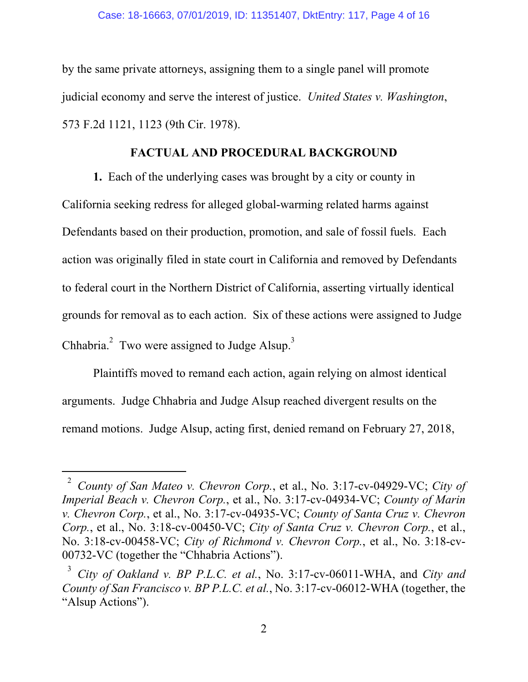#### Case: 18-16663, 07/01/2019, ID: 11351407, DktEntry: 117, Page 4 of 16

by the same private attorneys, assigning them to a single panel will promote judicial economy and serve the interest of justice. *United States v. Washington*, 573 F.2d 1121, 1123 (9th Cir. 1978).

#### **FACTUAL AND PROCEDURAL BACKGROUND**

**1.** Each of the underlying cases was brought by a city or county in California seeking redress for alleged global-warming related harms against Defendants based on their production, promotion, and sale of fossil fuels. Each action was originally filed in state court in California and removed by Defendants to federal court in the Northern District of California, asserting virtually identical grounds for removal as to each action. Six of these actions were assigned to Judge Chhabria. $^{2}$  Two were assigned to Judge Alsup.<sup>3</sup>

Plaintiffs moved to remand each action, again relying on almost identical arguments. Judge Chhabria and Judge Alsup reached divergent results on the remand motions. Judge Alsup, acting first, denied remand on February 27, 2018,

 $\overline{a}$ 

<sup>2</sup> *County of San Mateo v. Chevron Corp.*, et al., No. 3:17-cv-04929-VC; *City of Imperial Beach v. Chevron Corp.*, et al., No. 3:17-cv-04934-VC; *County of Marin v. Chevron Corp.*, et al., No. 3:17-cv-04935-VC; *County of Santa Cruz v. Chevron Corp.*, et al., No. 3:18-cv-00450-VC; *City of Santa Cruz v. Chevron Corp.*, et al., No. 3:18-cv-00458-VC; *City of Richmond v. Chevron Corp.*, et al., No. 3:18-cv-00732-VC (together the "Chhabria Actions").

<sup>3</sup> *City of Oakland v. BP P.L.C. et al.*, No. 3:17-cv-06011-WHA, and *City and County of San Francisco v. BP P.L.C. et al.*, No. 3:17-cv-06012-WHA (together, the "Alsup Actions").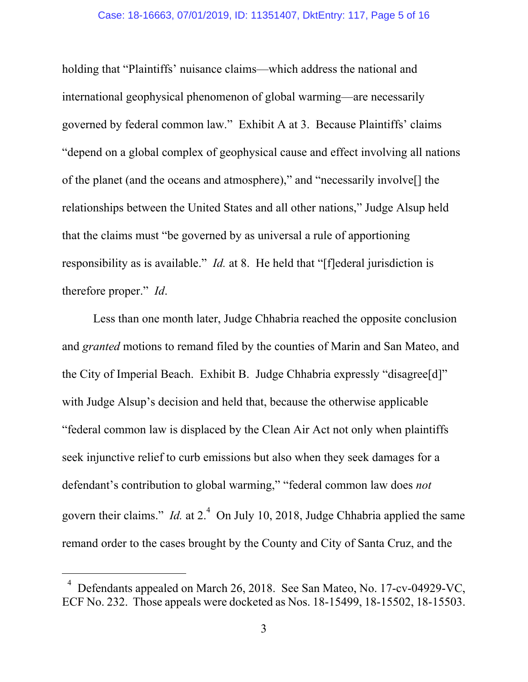#### Case: 18-16663, 07/01/2019, ID: 11351407, DktEntry: 117, Page 5 of 16

holding that "Plaintiffs' nuisance claims—which address the national and international geophysical phenomenon of global warming—are necessarily governed by federal common law." Exhibit A at 3. Because Plaintiffs' claims "depend on a global complex of geophysical cause and effect involving all nations of the planet (and the oceans and atmosphere)," and "necessarily involve[] the relationships between the United States and all other nations," Judge Alsup held that the claims must "be governed by as universal a rule of apportioning responsibility as is available." *Id.* at 8. He held that "[f]ederal jurisdiction is therefore proper." *Id*.

Less than one month later, Judge Chhabria reached the opposite conclusion and *granted* motions to remand filed by the counties of Marin and San Mateo, and the City of Imperial Beach. Exhibit B. Judge Chhabria expressly "disagree[d]" with Judge Alsup's decision and held that, because the otherwise applicable "federal common law is displaced by the Clean Air Act not only when plaintiffs seek injunctive relief to curb emissions but also when they seek damages for a defendant's contribution to global warming," "federal common law does *not*  govern their claims." *Id.* at 2.<sup>4</sup> On July 10, 2018, Judge Chhabria applied the same remand order to the cases brought by the County and City of Santa Cruz, and the

 $\overline{a}$ 

<sup>4</sup> Defendants appealed on March 26, 2018. See San Mateo, No. 17-cv-04929-VC, ECF No. 232. Those appeals were docketed as Nos. 18-15499, 18-15502, 18-15503.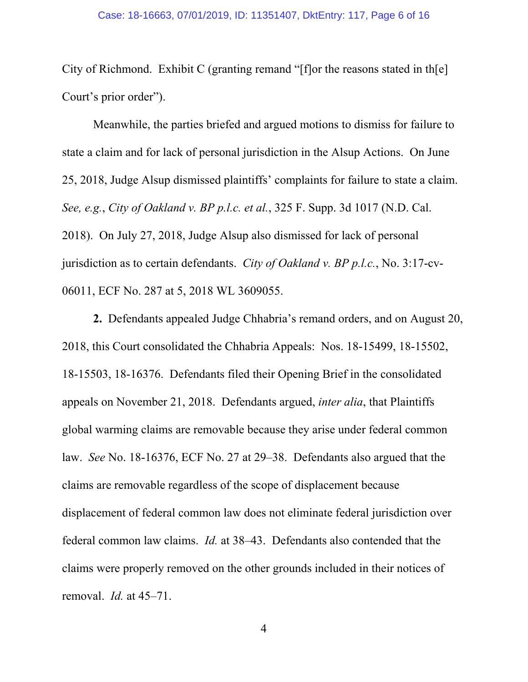City of Richmond. Exhibit C (granting remand "[f]or the reasons stated in th[e] Court's prior order").

Meanwhile, the parties briefed and argued motions to dismiss for failure to state a claim and for lack of personal jurisdiction in the Alsup Actions. On June 25, 2018, Judge Alsup dismissed plaintiffs' complaints for failure to state a claim. *See, e.g.*, *City of Oakland v. BP p.l.c. et al.*, 325 F. Supp. 3d 1017 (N.D. Cal. 2018). On July 27, 2018, Judge Alsup also dismissed for lack of personal jurisdiction as to certain defendants. *City of Oakland v. BP p.l.c.*, No. 3:17-cv-06011, ECF No. 287 at 5, 2018 WL 3609055.

**2.** Defendants appealed Judge Chhabria's remand orders, and on August 20, 2018, this Court consolidated the Chhabria Appeals: Nos. 18-15499, 18-15502, 18-15503, 18-16376. Defendants filed their Opening Brief in the consolidated appeals on November 21, 2018. Defendants argued, *inter alia*, that Plaintiffs global warming claims are removable because they arise under federal common law. *See* No. 18-16376, ECF No. 27 at 29–38. Defendants also argued that the claims are removable regardless of the scope of displacement because displacement of federal common law does not eliminate federal jurisdiction over federal common law claims. *Id.* at 38–43. Defendants also contended that the claims were properly removed on the other grounds included in their notices of removal. *Id.* at 45–71.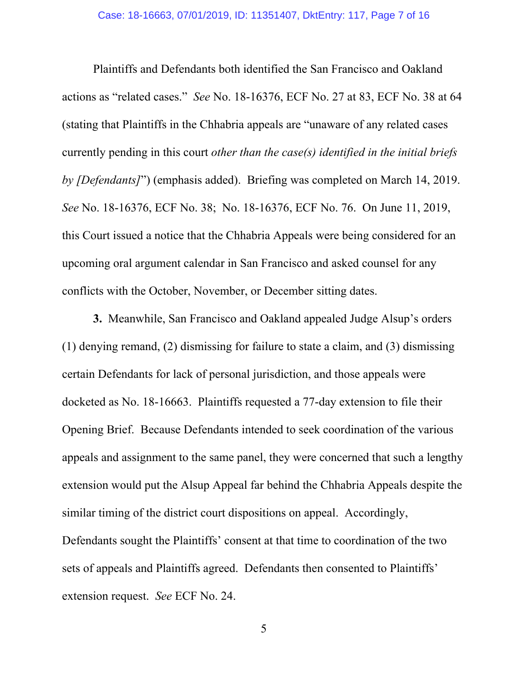Plaintiffs and Defendants both identified the San Francisco and Oakland actions as "related cases." *See* No. 18-16376, ECF No. 27 at 83, ECF No. 38 at 64 (stating that Plaintiffs in the Chhabria appeals are "unaware of any related cases currently pending in this court *other than the case(s) identified in the initial briefs by [Defendants]*") (emphasis added). Briefing was completed on March 14, 2019. *See* No. 18-16376, ECF No. 38; No. 18-16376, ECF No. 76. On June 11, 2019, this Court issued a notice that the Chhabria Appeals were being considered for an upcoming oral argument calendar in San Francisco and asked counsel for any conflicts with the October, November, or December sitting dates.

**3.** Meanwhile, San Francisco and Oakland appealed Judge Alsup's orders (1) denying remand, (2) dismissing for failure to state a claim, and (3) dismissing certain Defendants for lack of personal jurisdiction, and those appeals were docketed as No. 18-16663. Plaintiffs requested a 77-day extension to file their Opening Brief. Because Defendants intended to seek coordination of the various appeals and assignment to the same panel, they were concerned that such a lengthy extension would put the Alsup Appeal far behind the Chhabria Appeals despite the similar timing of the district court dispositions on appeal. Accordingly, Defendants sought the Plaintiffs' consent at that time to coordination of the two sets of appeals and Plaintiffs agreed. Defendants then consented to Plaintiffs' extension request. *See* ECF No. 24.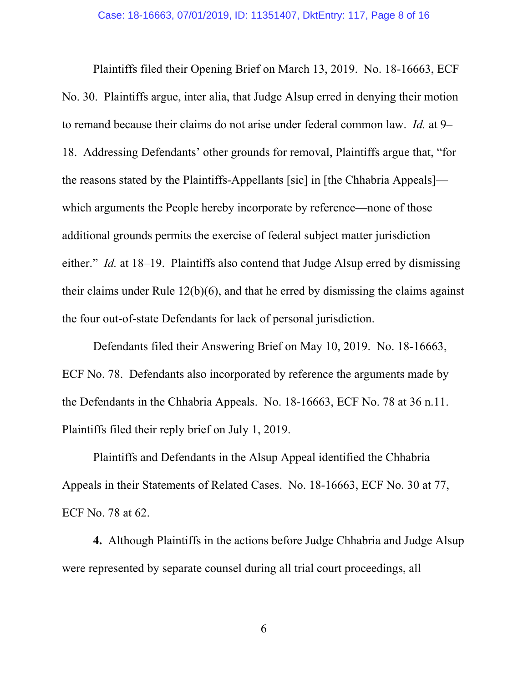Plaintiffs filed their Opening Brief on March 13, 2019. No. 18-16663, ECF No. 30. Plaintiffs argue, inter alia, that Judge Alsup erred in denying their motion to remand because their claims do not arise under federal common law. *Id.* at 9– 18. Addressing Defendants' other grounds for removal, Plaintiffs argue that, "for the reasons stated by the Plaintiffs-Appellants [sic] in [the Chhabria Appeals] which arguments the People hereby incorporate by reference—none of those additional grounds permits the exercise of federal subject matter jurisdiction either." *Id.* at 18–19. Plaintiffs also contend that Judge Alsup erred by dismissing their claims under Rule 12(b)(6), and that he erred by dismissing the claims against the four out-of-state Defendants for lack of personal jurisdiction.

Defendants filed their Answering Brief on May 10, 2019. No. 18-16663, ECF No. 78. Defendants also incorporated by reference the arguments made by the Defendants in the Chhabria Appeals. No. 18-16663, ECF No. 78 at 36 n.11. Plaintiffs filed their reply brief on July 1, 2019.

Plaintiffs and Defendants in the Alsup Appeal identified the Chhabria Appeals in their Statements of Related Cases. No. 18-16663, ECF No. 30 at 77, ECF No. 78 at 62.

**4.** Although Plaintiffs in the actions before Judge Chhabria and Judge Alsup were represented by separate counsel during all trial court proceedings, all

6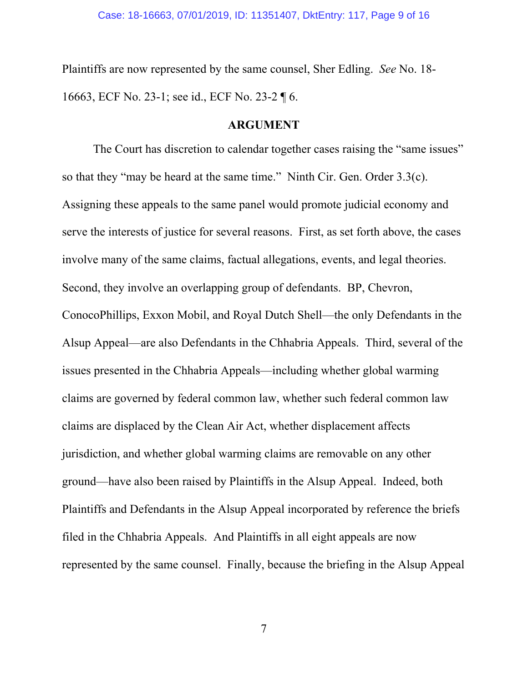Plaintiffs are now represented by the same counsel, Sher Edling. *See* No. 18- 16663, ECF No. 23-1; see id., ECF No. 23-2 ¶ 6.

## **ARGUMENT**

The Court has discretion to calendar together cases raising the "same issues" so that they "may be heard at the same time." Ninth Cir. Gen. Order 3.3(c). Assigning these appeals to the same panel would promote judicial economy and serve the interests of justice for several reasons. First, as set forth above, the cases involve many of the same claims, factual allegations, events, and legal theories. Second, they involve an overlapping group of defendants. BP, Chevron, ConocoPhillips, Exxon Mobil, and Royal Dutch Shell—the only Defendants in the Alsup Appeal—are also Defendants in the Chhabria Appeals. Third, several of the issues presented in the Chhabria Appeals—including whether global warming claims are governed by federal common law, whether such federal common law claims are displaced by the Clean Air Act, whether displacement affects jurisdiction, and whether global warming claims are removable on any other ground—have also been raised by Plaintiffs in the Alsup Appeal. Indeed, both Plaintiffs and Defendants in the Alsup Appeal incorporated by reference the briefs filed in the Chhabria Appeals. And Plaintiffs in all eight appeals are now represented by the same counsel. Finally, because the briefing in the Alsup Appeal

7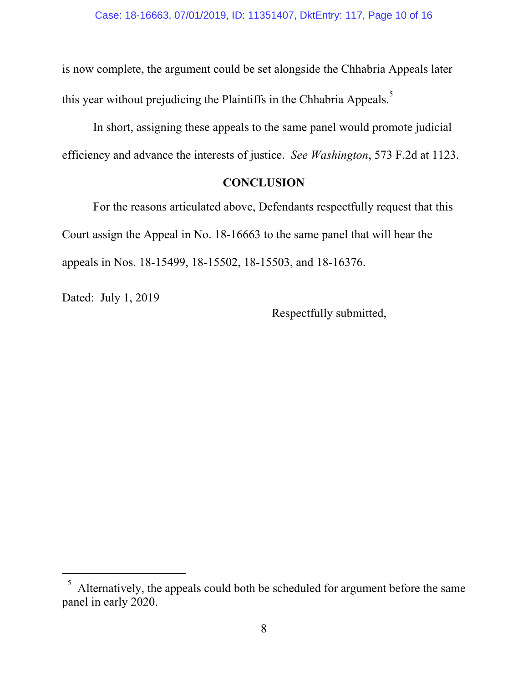is now complete, the argument could be set alongside the Chhabria Appeals later this year without prejudicing the Plaintiffs in the Chhabria Appeals.<sup>5</sup>

In short, assigning these appeals to the same panel would promote judicial efficiency and advance the interests of justice. *See Washington*, 573 F.2d at 1123.

## **CONCLUSION**

For the reasons articulated above, Defendants respectfully request that this Court assign the Appeal in No. 18-16663 to the same panel that will hear the appeals in Nos. 18-15499, 18-15502, 18-15503, and 18-16376.

Dated: July 1, 2019

 $\overline{a}$ 

Respectfully submitted,

<sup>5</sup> Alternatively, the appeals could both be scheduled for argument before the same panel in early 2020.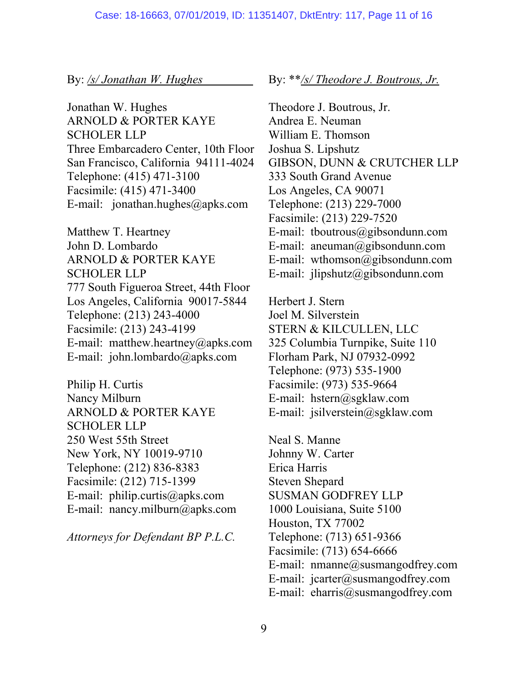#### By: */s/ Jonathan W. Hughes*

Jonathan W. Hughes ARNOLD & PORTER KAYE SCHOLER LLP Three Embarcadero Center, 10th Floor San Francisco, California 94111-4024 Telephone: (415) 471-3100 Facsimile: (415) 471-3400 E-mail: jonathan.hughes@apks.com

Matthew T. Heartney John D. Lombardo ARNOLD & PORTER KAYE SCHOLER LLP 777 South Figueroa Street, 44th Floor Los Angeles, California 90017-5844 Telephone: (213) 243-4000 Facsimile: (213) 243-4199 E-mail: matthew.heartney@apks.com E-mail: john.lombardo@apks.com

Philip H. Curtis Nancy Milburn ARNOLD & PORTER KAYE SCHOLER LLP 250 West 55th Street New York, NY 10019-9710 Telephone: (212) 836-8383 Facsimile: (212) 715-1399 E-mail: philip.curtis@apks.com E-mail: nancy.milburn@apks.com

*Attorneys for Defendant BP P.L.C.* 

#### By: \*\**/s/ Theodore J. Boutrous, Jr.*

Theodore J. Boutrous, Jr. Andrea E. Neuman William E. Thomson Joshua S. Lipshutz GIBSON, DUNN & CRUTCHER LLP 333 South Grand Avenue Los Angeles, CA 90071 Telephone: (213) 229-7000 Facsimile: (213) 229-7520 E-mail: tboutrous@gibsondunn.com E-mail: aneuman@gibsondunn.com E-mail: wthomson@gibsondunn.com E-mail: jlipshutz@gibsondunn.com

Herbert J. Stern Joel M. Silverstein STERN & KILCULLEN, LLC 325 Columbia Turnpike, Suite 110 Florham Park, NJ 07932-0992 Telephone: (973) 535-1900 Facsimile: (973) 535-9664 E-mail: hstern@sgklaw.com E-mail: jsilverstein@sgklaw.com

Neal S. Manne Johnny W. Carter Erica Harris Steven Shepard SUSMAN GODFREY LLP 1000 Louisiana, Suite 5100 Houston, TX 77002 Telephone: (713) 651-9366 Facsimile: (713) 654-6666 E-mail: nmanne@susmangodfrey.com E-mail:  $jcarter@susmangodfrey.com$ E-mail: eharris@susmangodfrey.com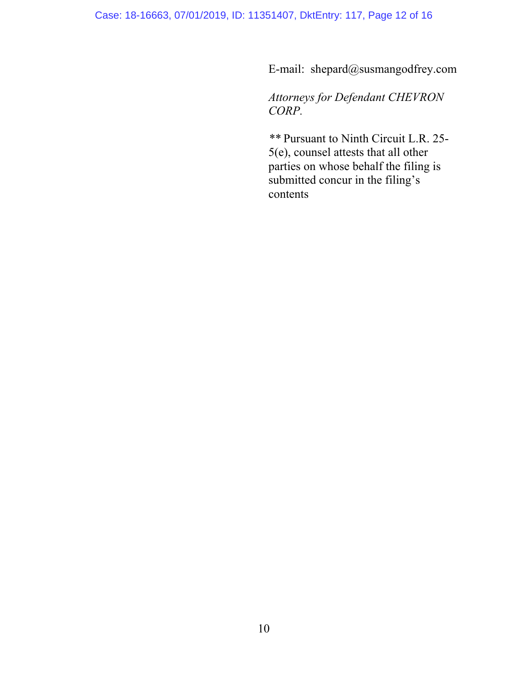E-mail: shepard@susmangodfrey.com

*Attorneys for Defendant CHEVRON CORP.* 

*\*\** Pursuant to Ninth Circuit L.R. 25- 5(e), counsel attests that all other parties on whose behalf the filing is submitted concur in the filing's contents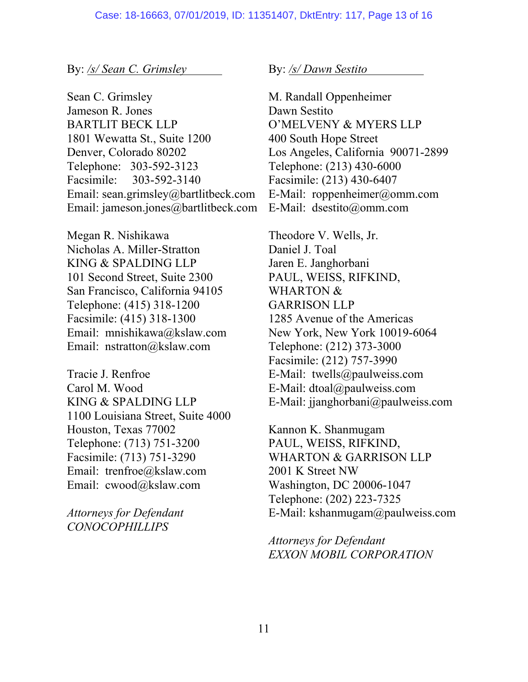By: */s/ Sean C. Grimsley*

Sean C. Grimsley Jameson R. Jones BARTLIT BECK LLP 1801 Wewatta St., Suite 1200 Denver, Colorado 80202 Telephone: 303-592-3123 Facsimile: 303-592-3140 Email: sean.grimsley@bartlitbeck.com Email: jameson.jones@bartlitbeck.com

Megan R. Nishikawa Nicholas A. Miller-Stratton KING & SPALDING LLP 101 Second Street, Suite 2300 San Francisco, California 94105 Telephone: (415) 318-1200 Facsimile: (415) 318-1300 Email: mnishikawa@kslaw.com Email: nstratton@kslaw.com

Tracie J. Renfroe Carol M. Wood KING & SPALDING LLP 1100 Louisiana Street, Suite 4000 Houston, Texas 77002 Telephone: (713) 751-3200 Facsimile: (713) 751-3290 Email: trenfroe@kslaw.com Email: cwood@kslaw.com

*Attorneys for Defendant CONOCOPHILLIPS* 

By: */s/ Dawn Sestito*

M. Randall Oppenheimer Dawn Sestito O'MELVENY & MYERS LLP 400 South Hope Street Los Angeles, California 90071-2899 Telephone: (213) 430-6000 Facsimile: (213) 430-6407 E-Mail: roppenheimer@omm.com E-Mail: dsestito@omm.com

Theodore V. Wells, Jr. Daniel J. Toal Jaren E. Janghorbani PAUL, WEISS, RIFKIND, WHARTON & GARRISON LLP 1285 Avenue of the Americas New York, New York 10019-6064 Telephone: (212) 373-3000 Facsimile: (212) 757-3990 E-Mail: twells@paulweiss.com E-Mail: dtoal@paulweiss.com E-Mail: jjanghorbani@paulweiss.com

Kannon K. Shanmugam PAUL, WEISS, RIFKIND, WHARTON & GARRISON LLP 2001 K Street NW Washington, DC 20006-1047 Telephone: (202) 223-7325 E-Mail: kshanmugam@paulweiss.com

*Attorneys for Defendant EXXON MOBIL CORPORATION*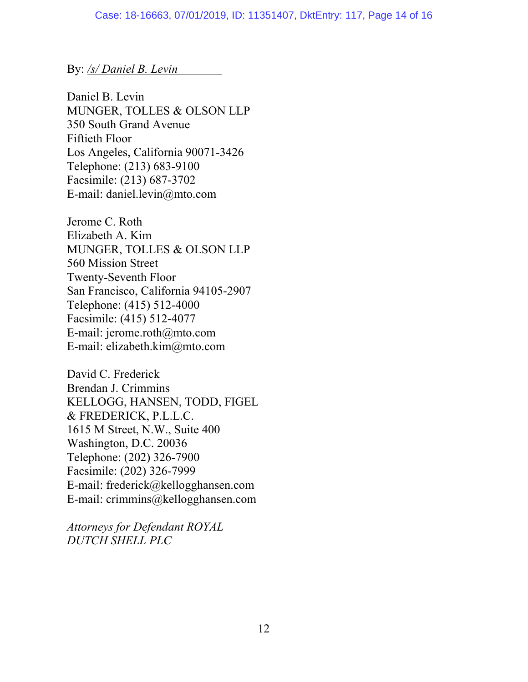## By: */s/ Daniel B. Levin*

Daniel B. Levin MUNGER, TOLLES & OLSON LLP 350 South Grand Avenue Fiftieth Floor Los Angeles, California 90071-3426 Telephone: (213) 683-9100 Facsimile: (213) 687-3702 E-mail: daniel.levin@mto.com

Jerome C. Roth Elizabeth A. Kim MUNGER, TOLLES & OLSON LLP 560 Mission Street Twenty-Seventh Floor San Francisco, California 94105-2907 Telephone: (415) 512-4000 Facsimile: (415) 512-4077 E-mail: jerome.roth@mto.com E-mail: elizabeth.kim@mto.com

David C. Frederick Brendan J. Crimmins KELLOGG, HANSEN, TODD, FIGEL & FREDERICK, P.L.L.C. 1615 M Street, N.W., Suite 400 Washington, D.C. 20036 Telephone: (202) 326-7900 Facsimile: (202) 326-7999 E-mail: frederick@kellogghansen.com E-mail: crimmins@kellogghansen.com

*Attorneys for Defendant ROYAL DUTCH SHELL PLC*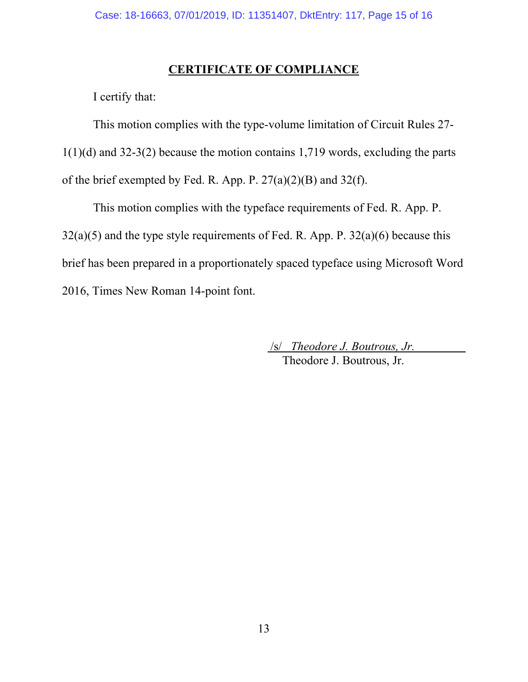## **CERTIFICATE OF COMPLIANCE**

I certify that:

This motion complies with the type-volume limitation of Circuit Rules 27- 1(1)(d) and 32-3(2) because the motion contains 1,719 words, excluding the parts of the brief exempted by Fed. R. App. P. 27(a)(2)(B) and 32(f).

This motion complies with the typeface requirements of Fed. R. App. P.  $32(a)(5)$  and the type style requirements of Fed. R. App. P.  $32(a)(6)$  because this brief has been prepared in a proportionately spaced typeface using Microsoft Word 2016, Times New Roman 14-point font.

> /s/ *Theodore J. Boutrous, Jr.* Theodore J. Boutrous, Jr.